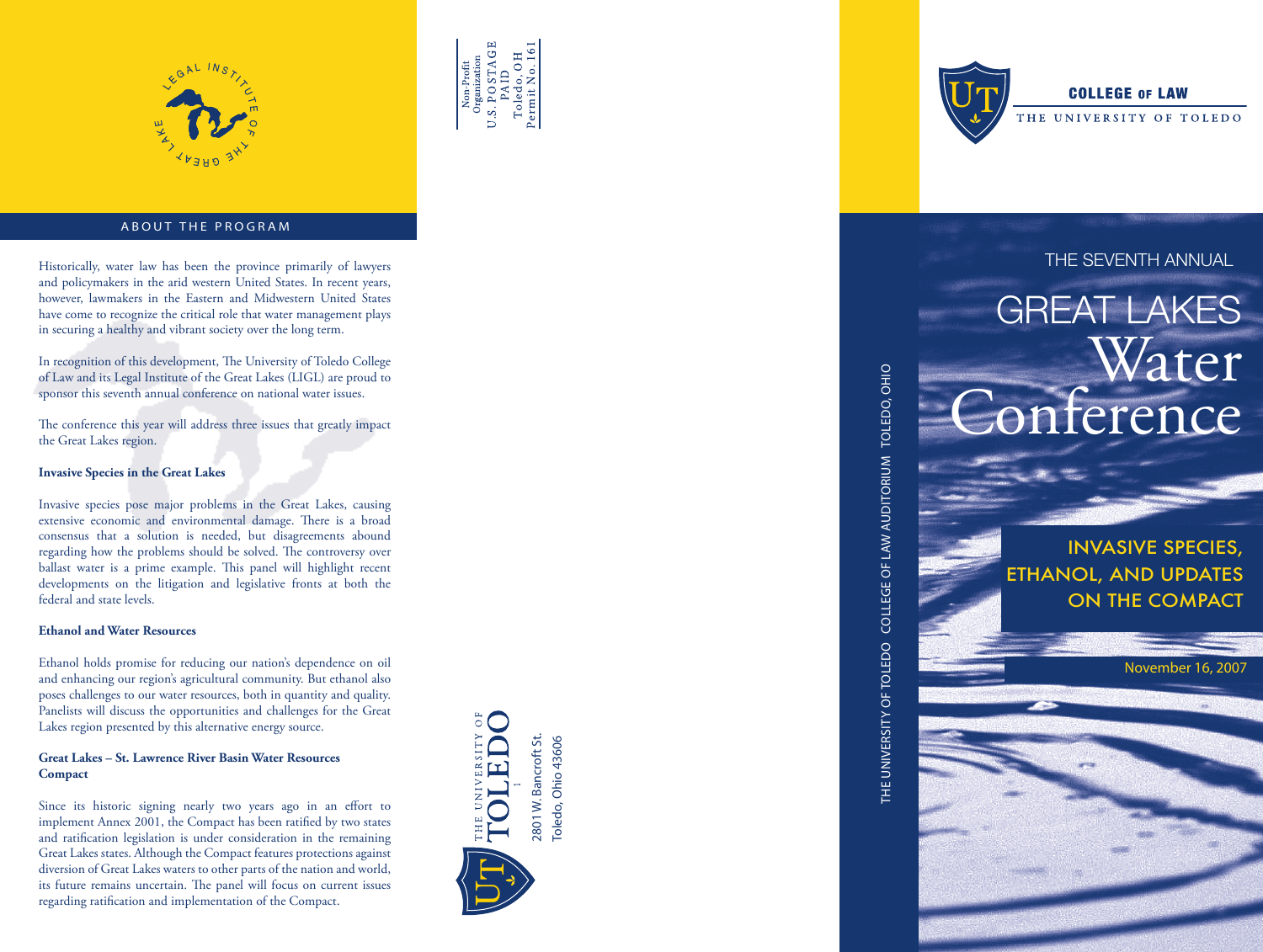



# ABOUT THE PROGRAM

Historically, water law has been the province primarily of lawyers **THE SEVENTH ANNUAL** and policymakers in the arid western United States. In recent years, however, lawmakers in the Eastern and Midwestern United States have come to recognize the critical role that water management plays in securing a healthy and vibrant society over the long term.

In recognition of this development, The University of Toledo College of Law and its Legal Institute of the Great Lakes (LIGL) are proud to sponsor this seventh annual conference on national water issues.

The conference this year will address three issues that greatly impact the Great Lakes region.

### **Invasive Species in the Great Lakes**

Invasive species pose major problems in the Great Lakes, causing extensive economic and environmental damage. There is a broad consensus that a solution is needed, but disagreements abound regarding how the problems should be solved. The controversy over ballast water is a prime example. This panel will highlight recent developments on the litigation and legislative fronts at both the federal and state levels.

# **Ethanol and Water Resources**

Ethanol holds promise for reducing our nation's dependence on oil and enhancing our region's agricultural community. But ethanol also poses challenges to our water resources, both in quantity and quality. Panelists will discuss the opportunities and challenges for the Great Lakes region presented by this alternative energy source.

# **Great Lakes – St. Lawrence River Basin Water Resources Compact**

Since its historic signing nearly two years ago in an effort to implement Annex 2001, the Compact has been ratified by two states and ratification legislation is under consideration in the remaining Great Lakes states. Although the Compact features protections against diversion of Great Lakes waters to other parts of the nation and world, its future remains uncertain. The panel will focus on current issues regarding ratification and implementation of the Compact.





THE UNIVERSITY OF TOLEDO COLLEGE OF LAW AUDITORIUM TOLEDO, OHIO

THE UNIVERSITY OF TOLEDO COLLEGE OF LAW AUDITORIUM TOLEDO, OHIO

# **COLLEGE OF LAW**

UNIVERSITY OF TOLEDO

# GREAT LAKES Water Conference

Invasive SPECIES, ETHANOL, AND UPDATES ON THE COMPACT

November 16, 2007